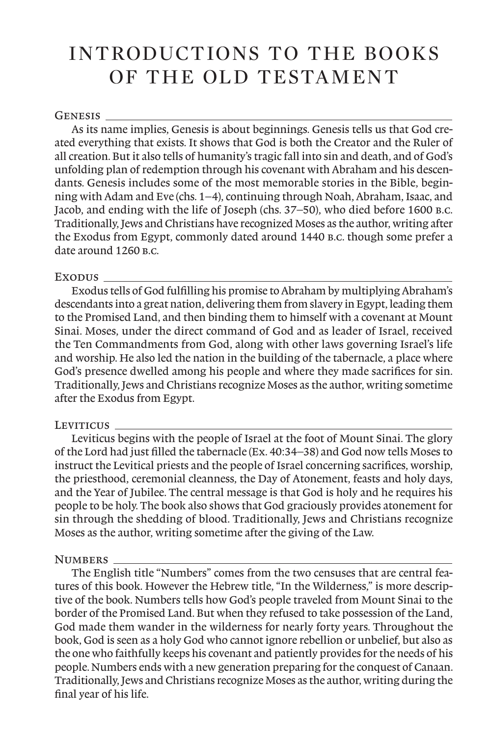# INTRODUCTIONS TO THE BOOKS OF THE OLD TESTAMENT

# GENESIS<sub>\_</sub>

As its name implies, Genesis is about beginnings. Genesis tells us that God created everything that exists. It shows that God is both the Creator and the Ruler of all creation. But it also tells of humanity's tragic fall into sin and death, and of God's unfolding plan of redemption through his covenant with Abraham and his descendants. Genesis includes some of the most memorable stories in the Bible, beginning with Adam and Eve (chs. 1–4), continuing through Noah, Abraham, Isaac, and Jacob, and ending with the life of Joseph (chs. 37–50), who died before 1600 b.c. Traditionally, Jews and Christians have recognized Moses as the author, writing after the Exodus from Egypt, commonly dated around 1440 b.c. though some prefer a date around 1260 **B.C.** 

# Exodus

Exodus tells of God fulfilling his promise to Abraham by multiplying Abraham's descendants into a great nation, delivering them from slavery in Egypt, leading them to the Promised Land, and then binding them to himself with a covenant at Mount Sinai. Moses, under the direct command of God and as leader of Israel, received the Ten Commandments from God, along with other laws governing Israel's life and worship. He also led the nation in the building of the tabernacle, a place where God's presence dwelled among his people and where they made sacrifices for sin. Traditionally, Jews and Christians recognize Moses as the author, writing sometime after the Exodus from Egypt.

# LEVITICUS

Leviticus begins with the people of Israel at the foot of Mount Sinai. The glory of the Lord had just filled the tabernacle (Ex. 40:34–38) and God now tells Moses to instruct the Levitical priests and the people of Israel concerning sacrifices, worship, the priesthood, ceremonial cleanness, the Day of Atonement, feasts and holy days, and the Year of Jubilee. The central message is that God is holy and he requires his people to be holy. The book also shows that God graciously provides atonement for sin through the shedding of blood. Traditionally, Jews and Christians recognize Moses as the author, writing sometime after the giving of the Law.

# NUMBERS\_

The English title "Numbers" comes from the two censuses that are central features of this book. However the Hebrew title, "In the Wilderness," is more descriptive of the book. Numbers tells how God's people traveled from Mount Sinai to the border of the Promised Land. But when they refused to take possession of the Land, God made them wander in the wilderness for nearly forty years. Throughout the book, God is seen as a holy God who cannot ignore rebellion or unbelief, but also as the one who faithfully keeps his covenant and patiently provides for the needs of his people. Numbers ends with a new generation preparing for the conquest of Canaan. Traditionally, Jews and Christians recognize Moses as the author, writing during the final year of his life.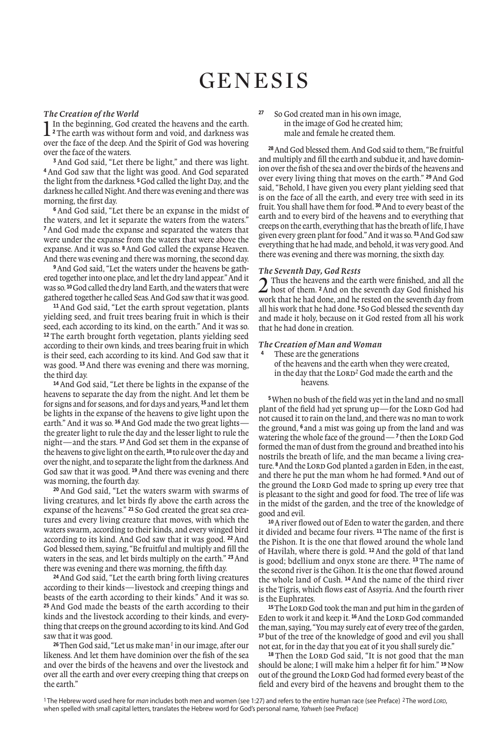# **GENESIS**

**The Creation of the World**<br> **1** In the beginning, God created the heavens and the earth.<br>
<sup>2</sup> The earth was without form and void, and darkness was **<sup>2</sup>**The earth was without form and void, and darkness was over the face of the deep. And the Spirit of God was hovering over the face of the waters.

**<sup>3</sup>** And God said, "Let there be light," and there was light. **<sup>4</sup>** And God saw that the light was good. And God separated the light from the darkness. **<sup>5</sup>**God called the light Day, and the darkness he called Night. And there was evening and there was morning, the first day.

**<sup>6</sup>** And God said, "Let there be an expanse in the midst of the waters, and let it separate the waters from the waters." **<sup>7</sup>**And God made the expanse and separated the waters that were under the expanse from the waters that were above the expanse. And it was so. **<sup>8</sup>**And God called the expanse Heaven. And there was evening and there was morning, the second day.

**9**And God said, "Let the waters under the heavens be gathered together into one place, and let the dry land appear." And it was so. **<sup>10</sup>**God called the dry land Earth, and the waters that were gathered together he called Seas. And God saw that it was good.

**<sup>11</sup>** And God said, "Let the earth sprout vegetation, plants yielding seed, and fruit trees bearing fruit in which is their seed, each according to its kind, on the earth." And it was so. **<sup>12</sup>** The earth brought forth vegetation, plants yielding seed according to their own kinds, and trees bearing fruit in which is their seed, each according to its kind. And God saw that it was good. **<sup>13</sup>**And there was evening and there was morning, the third day.

**<sup>14</sup>**And God said, "Let there be lights in the expanse of the heavens to separate the day from the night. And let them be for signs and for seasons, and for days and years, **<sup>15</sup>** and let them be lights in the expanse of the heavens to give light upon the earth." And it was so. <sup>16</sup> And God made the two great lightsthe greater light to rule the day and the lesser light to rule the night—and the stars. **<sup>17</sup>**And God set them in the expanse of the heavens to give light on the earth, **<sup>18</sup>** to rule over the day and over the night, and to separate the light from the darkness. And God saw that it was good. **<sup>19</sup>**And there was evening and there was morning, the fourth day.

**<sup>20</sup>** And God said, "Let the waters swarm with swarms of living creatures, and let birds fly above the earth across the expanse of the heavens." **<sup>21</sup>** So God created the great sea creatures and every living creature that moves, with which the waters swarm, according to their kinds, and every winged bird according to its kind. And God saw that it was good. **<sup>22</sup>** And God blessed them, saying, "Be fruitful and multiply and fill the waters in the seas, and let birds multiply on the earth." **<sup>23</sup>**And there was evening and there was morning, the fifth day.

**<sup>24</sup>**And God said, "Let the earth bring forth living creatures according to their kinds—livestock and creeping things and beasts of the earth according to their kinds." And it was so. **<sup>25</sup>** And God made the beasts of the earth according to their kinds and the livestock according to their kinds, and everything that creeps on the ground according to its kind. And God saw that it was good.

**<sup>26</sup>**Then God said, "Let us make man*1* in our image, after our likeness. And let them have dominion over the fish of the sea and over the birds of the heavens and over the livestock and over all the earth and over every creeping thing that creeps on the earth."

**<sup>27</sup>** So God created man in his own image, in the image of God he created him; male and female he created them.

**<sup>28</sup>**And God blessed them. And God said to them, "Be fruitful and multiply and fill the earth and subdue it, and have dominion over the fish of the sea and over the birds of the heavens and over every living thing that moves on the earth." **<sup>29</sup>**And God said, "Behold, I have given you every plant yielding seed that is on the face of all the earth, and every tree with seed in its fruit. You shall have them for food. **<sup>30</sup>**And to every beast of the earth and to every bird of the heavens and to everything that creeps on the earth, everything that has the breath of life, I have given every green plant for food." And it was so. **<sup>31</sup>**And God saw everything that he had made, and behold, it was very good. And there was evening and there was morning, the sixth day.

### *The Seventh Day, God Rests*

2 Thus the heavens and the earth were finished, and all the host of them. **<sup>2</sup>**And on the seventh day God finished his work that he had done, and he rested on the seventh day from all his work that he had done. **<sup>3</sup>** So God blessed the seventh day and made it holy, because on it God rested from all his work that he had done in creation.

### *The Creation of Man and Woman*

**<sup>4</sup>** These are the generations of the heavens and the earth when they were created, in the day that the LORD<sup>2</sup> God made the earth and the heavens.

**<sup>5</sup>**When no bush of the field was yet in the land and no small plant of the field had yet sprung up—for the LORD God had not caused it to rain on the land, and there was no man to work the ground, **<sup>6</sup>** and a mist was going up from the land and was watering the whole face of the ground—<sup>7</sup> then the LORD God formed the man of dust from the ground and breathed into his nostrils the breath of life, and the man became a living creature. <sup>8</sup> And the LORD God planted a garden in Eden, in the east, and there he put the man whom he had formed. **<sup>9</sup>**And out of the ground the LORD God made to spring up every tree that is pleasant to the sight and good for food. The tree of life was in the midst of the garden, and the tree of the knowledge of good and evil.

**<sup>10</sup>**Ariver flowed out of Eden to water the garden, and there it divided and became four rivers. **<sup>11</sup>**The name of the first is the Pishon. It is the one that flowed around the whole land of Havilah, where there is gold. **<sup>12</sup>**And the gold of that land is good; bdellium and onyx stone are there. **<sup>13</sup>** The name of the second river is the Gihon. It is the one that flowed around the whole land of Cush. **<sup>14</sup>** And the name of the third river is the Tigris, which flows east of Assyria. And the fourth river is the Euphrates.

<sup>15</sup>The LORD God took the man and put him in the garden of Eden to work it and keep it.<sup>16</sup> And the LORD God commanded the man, saying, "You may surely eat of every tree of the garden, **<sup>17</sup>** but of the tree of the knowledge of good and evil you shall not eat, for in the day that you eat of it you shall surely die."

<sup>18</sup> Then the LORD God said, "It is not good that the man should be alone; I will make him a helper fit for him." **<sup>19</sup>**Now out of the ground the LORD God had formed every beast of the field and every bird of the heavens and brought them to the

<sup>1</sup> The Hebrew word used here for man includes both men and women (see 1:27) and refers to the entire human race (see Preface) <sup>2</sup> The word LORD, when spelled with small capital letters, translates the Hebrew word for God's personal name, Yahweh (see Preface)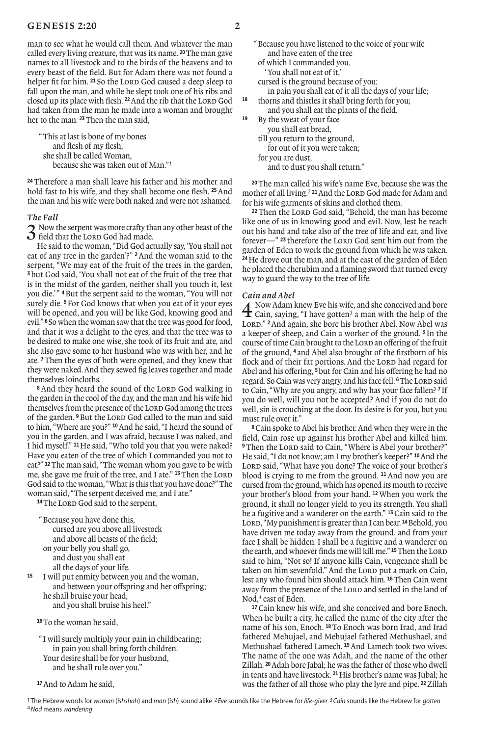# GENESIS 2:20  $2 \cdot 20$

man to see what he would call them. And whatever the man called every living creature, that was its name. **<sup>20</sup>**The man gave names to all livestock and to the birds of the heavens and to every beast of the field. But for Adam there was not found a helper fit for him. <sup>21</sup> So the LORD God caused a deep sleep to fall upon the man, and while he slept took one of his ribs and closed up its place with flesh. <sup>22</sup> And the rib that the LORD God had taken from the man he made into a woman and brought her to the man. **<sup>23</sup>**Then the man said,

"This at last is bone of my bones and flesh of my flesh; she shall be called Woman, because she was taken out of Man."*<sup>1</sup>*

**<sup>24</sup>**Therefore a man shall leave his father and his mother and hold fast to his wife, and they shall become one flesh. **<sup>25</sup>**And the man and his wife were both naked and were not ashamed.

### *The Fall*

3 Now the serpent was more crafty than any other beast of the field that the Lord God had made.

He said to the woman, "Did God actually say, 'You shall not eat of any tree in the garden'?" **<sup>2</sup>**And the woman said to the serpent, "We may eat of the fruit of the trees in the garden, **<sup>3</sup>** but God said, 'You shall not eat of the fruit of the tree that is in the midst of the garden, neither shall you touch it, lest you die.' " **<sup>4</sup>**But the serpent said to the woman, "You will not surely die. **<sup>5</sup>**For God knows that when you eat of it your eyes will be opened, and you will be like God, knowing good and evil." **<sup>6</sup>** So when the woman saw that the tree was good for food, and that it was a delight to the eyes, and that the tree was to be desired to make one wise, she took of its fruit and ate, and she also gave some to her husband who was with her, and he ate. **<sup>7</sup>**Then the eyes of both were opened, and they knew that they were naked. And they sewed fig leaves together and made themselves loincloths.

<sup>8</sup> And they heard the sound of the LORD God walking in the garden in the cool of the day, and the man and his wife hid themselves from the presence of the LORD God among the trees of the garden. <sup>9</sup>But the LORD God called to the man and said to him, "Where are you?" **<sup>10</sup>**And he said, "I heard the sound of you in the garden, and I was afraid, because I was naked, and I hid myself." **<sup>11</sup>** He said, "Who told you that you were naked? Have you eaten of the tree of which I commanded you not to eat?" **<sup>12</sup>**The man said, "The woman whom you gave to be with me, she gave me fruit of the tree, and I ate." <sup>13</sup>Then the LORD God said to the woman, "What is this that you have done?" The woman said, "The serpent deceived me, and I ate."

<sup>14</sup>The Lord God said to the serpent,

"Because you have done this, cursed are you above all livestock and above all beasts of the field; on your belly you shall go, and dust you shall eat all the days of your life. **<sup>15</sup>** I will put enmity between you and the woman,

 and between your ofspring and her ofspring; he shall bruise your head, and you shall bruise his heel."

**<sup>16</sup>**To the woman he said,

" I will surely multiply your pain in childbearing; in pain you shall bring forth children. Your desire shall be for your husband, and he shall rule over you."

**<sup>17</sup>**And to Adam he said,

- of which I commanded you, 'You shall not eat of it,'
- cursed is the ground because of you;
- in pain you shall eat of it all the days of your life;<br><sup>18</sup> thorns and thistles it shall bring forth for you; **<sup>18</sup>** thorns and thistles it shall bring forth for you;
- and you shall eat the plants of the field. **<sup>19</sup>** By the sweat of your face
	- you shall eat bread,
	- till you return to the ground,
		- for out of it you were taken;
	- for you are dust, and to dust you shall return."

**<sup>20</sup>**The man called his wife's name Eve, because she was the mother of all living.<sup>2</sup> <sup>21</sup> And the LORD God made for Adam and for his wife garments of skins and clothed them.

<sup>22</sup> Then the Lord God said, "Behold, the man has become like one of us in knowing good and evil. Now, lest he reach out his hand and take also of the tree of life and eat, and live forever—" <sup>23</sup> therefore the LORD God sent him out from the garden of Eden to work the ground from which he was taken. **<sup>24</sup>**He drove out the man, and at the east of the garden of Eden he placed the cherubim and a flaming sword that turned every way to guard the way to the tree of life.

*Cain and Abel*<br>  $\overline{A}$  Now Adam knew Eve his wife, and she conceived and bore<br>  $\overline{A}$  Cain, saying, "I have gotten<sup>3</sup> a man with the help of the Cain, saying, "I have gotten*3* a man with the help of the LORD." <sup>2</sup> And again, she bore his brother Abel. Now Abel was a keeper of sheep, and Cain a worker of the ground. **<sup>3</sup>** In the course of time Cain brought to the LORD an offering of the fruit of the ground, **<sup>4</sup>** and Abel also brought of the firstborn of his flock and of their fat portions. And the LORD had regard for Abel and his ofering, **<sup>5</sup>**but for Cain and his ofering he had no regard. So Cain was very angry, and his face fell. <sup>6</sup>The LORD said to Cain, "Why are you angry, and why has your face fallen? **<sup>7</sup>** If you do well, will you not be accepted? And if you do not do well, sin is crouching at the door. Its desire is for you, but you must rule over it."

**<sup>8</sup>**Cain spoke to Abel his brother. And when they were in the field, Cain rose up against his brother Abel and killed him. <sup>9</sup>Then the Lorp said to Cain, "Where is Abel your brother?" He said, "I do not know; am I my brother's keeper?" **<sup>10</sup>**And the LORD said, "What have you done? The voice of your brother's blood is crying to me from the ground. **<sup>11</sup>** And now you are cursed from the ground, which has opened its mouth to receive your brother's blood from your hand. **<sup>12</sup>**When you work the ground, it shall no longer yield to you its strength. You shall be a fugitive and a wanderer on the earth." **<sup>13</sup>**Cain said to the LORD, "My punishment is greater than I can bear. <sup>14</sup>Behold, you have driven me today away from the ground, and from your face I shall be hidden. I shall be a fugitive and a wanderer on the earth, and whoever finds me will kill me." **<sup>15</sup>**Then the Lord said to him, "Not so! If anyone kills Cain, vengeance shall be taken on him sevenfold." And the LORD put a mark on Cain, lest any who found him should attack him. **<sup>16</sup>**Then Cain went away from the presence of the LORD and settled in the land of Nod,*4* east of Eden.

**<sup>17</sup>**Cain knew his wife, and she conceived and bore Enoch. When he built a city, he called the name of the city after the name of his son, Enoch. **<sup>18</sup>**To Enoch was born Irad, and Irad fathered Mehujael, and Mehujael fathered Methushael, and Methushael fathered Lamech. **<sup>19</sup>**And Lamech took two wives. The name of the one was Adah, and the name of the other Zillah. **<sup>20</sup>**Adah bore Jabal; he was the father of those who dwell in tents and have livestock. **<sup>21</sup>**His brother's name was Jubal; he was the father of all those who play the lyre and pipe. **22**Zillah

<sup>1</sup> The Hebrew words for woman (ishshah) and man (ish) sound alike <sup>2</sup> Eve sounds like the Hebrew for life-giver <sup>3</sup> Cain sounds like the Hebrew for gotten 4Nod means wandering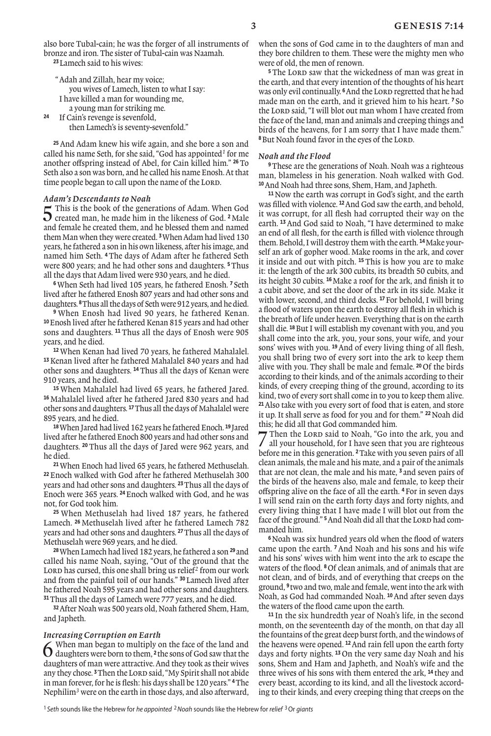also bore Tubal-cain; he was the forger of all instruments of bronze and iron. The sister of Tubal-cain was Naamah. **<sup>23</sup>**Lamech said to his wives:

"Adah and Zillah, hear my voice; you wives of Lamech, listen to what I say: I have killed a man for wounding me, a young man for striking me.

**<sup>24</sup>** If Cain's revenge is sevenfold, then Lamech's is seventy-sevenfold."

**<sup>25</sup>**And Adam knew his wife again, and she bore a son and called his name Seth, for she said, "God has appointed*1* for me another ofspring instead of Abel, for Cain killed him." **<sup>26</sup>**To Seth also a son was born, and he called his name Enosh. At that time people began to call upon the name of the LORD.

*Adam's Descendants to Noah*<br>  $\blacksquare$  This is the book of the generations of Adam. When God 5 This is the book of the generations of Adam. When God created man, he made him in the likeness of God. **<sup>2</sup>**Male and female he created them, and he blessed them and named them Man when they were created. **<sup>3</sup>**When Adam had lived 130 years, he fathered a son in his own likeness, after his image, and named him Seth. **<sup>4</sup>** The days of Adam after he fathered Seth were 800 years; and he had other sons and daughters. **<sup>5</sup>**Thus all the days that Adam lived were 930 years, and he died.

**<sup>6</sup>**When Seth had lived 105 years, he fathered Enosh. **<sup>7</sup>** Seth lived after he fathered Enosh 807 years and had other sons and daughters. **<sup>8</sup>**Thus all the days of Seth were 912 years, and he died.

**<sup>9</sup>** When Enosh had lived 90 years, he fathered Kenan. **<sup>10</sup>**Enosh lived after he fathered Kenan 815 years and had other sons and daughters. **<sup>11</sup>** Thus all the days of Enosh were 905 years, and he died.

When Kenan had lived 70 years, he fathered Mahalalel. Kenan lived after he fathered Mahalalel 840 years and had other sons and daughters. **<sup>14</sup>**Thus all the days of Kenan were years, and he died.

 When Mahalalel had lived 65 years, he fathered Jared. Mahalalel lived after he fathered Jared 830 years and had other sons and daughters. **<sup>17</sup>**Thus all the days of Mahalalel were years, and he died.

**<sup>18</sup>**When Jared had lived 162 years he fathered Enoch. **<sup>19</sup>** Jared lived after he fathered Enoch 800 years and had other sons and daughters. **<sup>20</sup>** Thus all the days of Jared were 962 years, and he died.

**21**When Enoch had lived 65 years, he fathered Methuselah. **<sup>22</sup>**Enoch walked with God after he fathered Methuselah 300 years and had other sons and daughters. **<sup>23</sup>**Thus all the days of Enoch were 365 years. **<sup>24</sup>**Enoch walked with God, and he was not, for God took him.

**<sup>25</sup>** When Methuselah had lived 187 years, he fathered Lamech. **<sup>26</sup>** Methuselah lived after he fathered Lamech 782 years and had other sons and daughters. **<sup>27</sup>**Thus all the days of Methuselah were 969 years, and he died.

**<sup>28</sup>**When Lamech had lived 182 years, he fathered a son **<sup>29</sup>** and called his name Noah, saying, "Out of the ground that the LORD has cursed, this one shall bring us relief<sup>2</sup> from our work and from the painful toil of our hands." **<sup>30</sup>** Lamech lived after he fathered Noah 595 years and had other sons and daughters. **<sup>31</sup>**Thus all the days of Lamech were 777 years, and he died.

**<sup>32</sup>**After Noah was 500 years old, Noah fathered Shem, Ham, and Japheth.

#### *Increasing Corruption on Earth*

6 When man began to multiply on the face of the land and daughters were born to them, **<sup>2</sup>** the sons of God saw that the daughters of man were attractive. And they took as their wives any they chose.<sup>3</sup> Then the Lord said, "My Spirit shall not abide in man forever, for he is flesh: his days shall be 120 years." **<sup>4</sup>**The Nephilim*3* were on the earth in those days, and also afterward,

when the sons of God came in to the daughters of man and they bore children to them. These were the mighty men who were of old, the men of renown.

<sup>5</sup> The Lord saw that the wickedness of man was great in the earth, and that every intention of the thoughts of his heart was only evil continually.  $6$  And the LORD regretted that he had made man on the earth, and it grieved him to his heart. **<sup>7</sup>** So the LORD said. "I will blot out man whom I have created from the face of the land, man and animals and creeping things and birds of the heavens, for I am sorry that I have made them." <sup>8</sup>But Noah found favor in the eyes of the LORD.

#### *Noah and the Flood*

**<sup>9</sup>**These are the generations of Noah. Noah was a righteous man, blameless in his generation. Noah walked with God. **<sup>10</sup>**And Noah had three sons, Shem, Ham, and Japheth.

**<sup>11</sup>**Now the earth was corrupt in God's sight, and the earth was filled with violence. **<sup>12</sup>**And God saw the earth, and behold, it was corrupt, for all flesh had corrupted their way on the earth. **<sup>13</sup>**And God said to Noah, "I have determined to make an end of all flesh, for the earth is filled with violence through them. Behold, I will destroy them with the earth. **<sup>14</sup>**Make yourself an ark of gopher wood. Make rooms in the ark, and cover it inside and out with pitch. **<sup>15</sup>** This is how you are to make it: the length of the ark 300 cubits, its breadth 50 cubits, and its height 30 cubits. **<sup>16</sup>**Make a roof for the ark, and finish it to a cubit above, and set the door of the ark in its side. Make it with lower, second, and third decks. **<sup>17</sup>**For behold, I will bring a flood of waters upon the earth to destroy all flesh in which is the breath of life under heaven. Everything that is on the earth shall die. **<sup>18</sup>**But I will establish my covenant with you, and you shall come into the ark, you, your sons, your wife, and your sons' wives with you. **<sup>19</sup>**And of every living thing of all flesh, you shall bring two of every sort into the ark to keep them alive with you. They shall be male and female. **<sup>20</sup>** Of the birds according to their kinds, and of the animals according to their kinds, of every creeping thing of the ground, according to its kind, two of every sort shall come in to you to keep them alive. **<sup>21</sup>**Also take with you every sort of food that is eaten, and store it up. It shall serve as food for you and for them." **<sup>22</sup>**Noah did this; he did all that God commanded him.<br> $\overline{7}$  Then the LORD said to Noah, "Go into the ark, you and

7 Then the LORD said to Noah, "Go into the ark, you and all your household, for I have seen that you are righteous before me in this generation. **<sup>2</sup>**Take with you seven pairs of all clean animals, the male and his mate, and a pair of the animals that are not clean, the male and his mate, **<sup>3</sup>** and seven pairs of the birds of the heavens also, male and female, to keep their ofspring alive on the face of all the earth. **<sup>4</sup>**For in seven days I will send rain on the earth forty days and forty nights, and every living thing that I have made I will blot out from the face of the ground."<sup>5</sup> And Noah did all that the LORD had commanded him.

**<sup>6</sup>**Noah was six hundred years old when the flood of waters came upon the earth. **<sup>7</sup>**And Noah and his sons and his wife and his sons' wives with him went into the ark to escape the waters of the flood. **<sup>8</sup>**Of clean animals, and of animals that are not clean, and of birds, and of everything that creeps on the ground, **<sup>9</sup>** two and two, male and female, went into the ark with Noah, as God had commanded Noah. **<sup>10</sup>**And after seven days the waters of the flood came upon the earth.

**<sup>11</sup>** In the six hundredth year of Noah's life, in the second month, on the seventeenth day of the month, on that day all the fountains of the great deep burst forth, and the windows of the heavens were opened. **<sup>12</sup>**And rain fell upon the earth forty days and forty nights. **<sup>13</sup>** On the very same day Noah and his sons, Shem and Ham and Japheth, and Noah's wife and the three wives of his sons with them entered the ark, **<sup>14</sup>** they and every beast, according to its kind, and all the livestock according to their kinds, and every creeping thing that creeps on the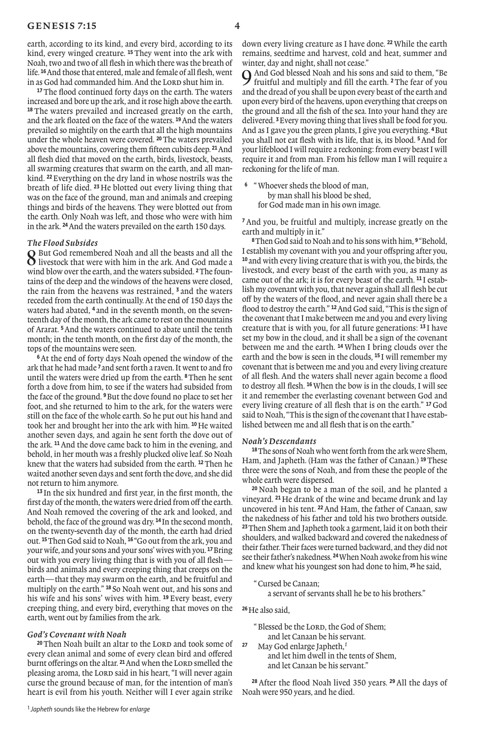earth, according to its kind, and every bird, according to its kind, every winged creature. **<sup>15</sup>** They went into the ark with Noah, two and two of all flesh in which there was the breath of life. **<sup>16</sup>**And those that entered, male and female of all flesh, went in as God had commanded him. And the LORD shut him in.

**<sup>17</sup>**The flood continued forty days on the earth. The waters increased and bore up the ark, and it rose high above the earth. **<sup>18</sup>** The waters prevailed and increased greatly on the earth, and the ark floated on the face of the waters. **<sup>19</sup>**And the waters prevailed so mightily on the earth that all the high mountains under the whole heaven were covered. **<sup>20</sup>**The waters prevailed above the mountains, covering them fifteen cubits deep. **<sup>21</sup>**And all flesh died that moved on the earth, birds, livestock, beasts, all swarming creatures that swarm on the earth, and all mankind. **<sup>22</sup>**Everything on the dry land in whose nostrils was the breath of life died. **<sup>23</sup>** He blotted out every living thing that was on the face of the ground, man and animals and creeping things and birds of the heavens. They were blotted out from the earth. Only Noah was left, and those who were with him in the ark. **<sup>24</sup>**And the waters prevailed on the earth 150 days.

### *The Flood Subsides*

8 But God remembered Noah and all the beasts and all the livestock that were with him in the ark. And God made a wind blow over the earth, and the waters subsided. **2**The fountains of the deep and the windows of the heavens were closed, the rain from the heavens was restrained, **<sup>3</sup>** and the waters receded from the earth continually. At the end of 150 days the waters had abated, **<sup>4</sup>** and in the seventh month, on the seventeenth day of the month, the ark came to rest on the mountains of Ararat. **<sup>5</sup>**And the waters continued to abate until the tenth month; in the tenth month, on the first day of the month, the tops of the mountains were seen.

**<sup>6</sup>**At the end of forty days Noah opened the window of the ark that he had made **<sup>7</sup>** and sent forth a raven. It went to and fro until the waters were dried up from the earth. **<sup>8</sup>**Then he sent forth a dove from him, to see if the waters had subsided from the face of the ground. **<sup>9</sup>**But the dove found no place to set her foot, and she returned to him to the ark, for the waters were still on the face of the whole earth. So he put out his hand and took her and brought her into the ark with him. **<sup>10</sup>** He waited another seven days, and again he sent forth the dove out of the ark. **<sup>11</sup>**And the dove came back to him in the evening, and behold, in her mouth was a freshly plucked olive leaf. So Noah knew that the waters had subsided from the earth. **<sup>12</sup>**Then he waited another seven days and sent forth the dove, and she did not return to him anymore.

**<sup>13</sup>** In the six hundred and first year, in the first month, the first day of the month, the waters were dried from off the earth. And Noah removed the covering of the ark and looked, and behold, the face of the ground was dry. **<sup>14</sup>** In the second month, on the twenty-seventh day of the month, the earth had dried out. **<sup>15</sup>**Then God said to Noah, **<sup>16</sup>** "Go out from the ark, you and your wife, and your sons and your sons' wives with you. **<sup>17</sup>**Bring out with you every living thing that is with you of all flesh birds and animals and every creeping thing that creeps on the earth—that they may swarm on the earth, and be fruitful and multiply on the earth." **<sup>18</sup>** So Noah went out, and his sons and his wife and his sons' wives with him. **<sup>19</sup>** Every beast, every creeping thing, and every bird, everything that moves on the earth, went out by families from the ark.

#### *God's Covenant with Noah*

<sup>20</sup> Then Noah built an altar to the LORD and took some of every clean animal and some of every clean bird and ofered burnt offerings on the altar. <sup>21</sup> And when the LORD smelled the pleasing aroma, the LORD said in his heart, "I will never again curse the ground because of man, for the intention of man's heart is evil from his youth. Neither will I ever again strike

down every living creature as I have done. **<sup>22</sup>**While the earth remains, seedtime and harvest, cold and heat, summer and winter, day and night, shall not cease."

9 And God blessed Noah and his sons and said to them, "Be fruitful and multiply and fill the earth. **<sup>2</sup>**The fear of you and the dread of you shall be upon every beast of the earth and upon every bird of the heavens, upon everything that creeps on the ground and all the fish of the sea. Into your hand they are delivered. **<sup>3</sup>**Every moving thing that lives shall be food for you. And as I gave you the green plants, I give you everything. **<sup>4</sup>**But you shall not eat flesh with its life, that is, its blood. **<sup>5</sup>**And for your lifeblood I will require a reckoning: from every beast I will require it and from man. From his fellow man I will require a reckoning for the life of man.

**<sup>6</sup>** "Whoever sheds the blood of man, by man shall his blood be shed, for God made man in his own image.

**<sup>7</sup>** And you, be fruitful and multiply, increase greatly on the earth and multiply in it."

**<sup>8</sup>**Then God said to Noah and to his sons with him, **<sup>9</sup>** "Behold, I establish my covenant with you and your ofspring after you, **<sup>10</sup>** and with every living creature that is with you, the birds, the livestock, and every beast of the earth with you, as many as came out of the ark; it is for every beast of the earth. **<sup>11</sup>** I establish my covenant with you, that never again shall all flesh be cut of by the waters of the flood, and never again shall there be a flood to destroy the earth." **<sup>12</sup>**And God said, "This is the sign of the covenant that I make between me and you and every living creature that is with you, for all future generations: **<sup>13</sup>** I have set my bow in the cloud, and it shall be a sign of the covenant between me and the earth. **<sup>14</sup>** When I bring clouds over the earth and the bow is seen in the clouds, **<sup>15</sup>** I will remember my covenant that is between me and you and every living creature of all flesh. And the waters shall never again become a flood to destroy all flesh. **<sup>16</sup>**When the bow is in the clouds, I will see it and remember the everlasting covenant between God and every living creature of all flesh that is on the earth." **<sup>17</sup>** God said to Noah, "This is the sign of the covenant that I have established between me and all flesh that is on the earth."

### *Noah's Descendants*

**<sup>18</sup>**The sons of Noah who went forth from the ark were Shem, Ham, and Japheth. (Ham was the father of Canaan.) **<sup>19</sup>**These three were the sons of Noah, and from these the people of the whole earth were dispersed.

**<sup>20</sup>** Noah began to be a man of the soil, and he planted a vineyard. **<sup>21</sup>** He drank of the wine and became drunk and lay uncovered in his tent. **<sup>22</sup>**And Ham, the father of Canaan, saw the nakedness of his father and told his two brothers outside. **<sup>23</sup>**Then Shem and Japheth took a garment, laid it on both their shoulders, and walked backward and covered the nakedness of their father. Their faces were turned backward, and they did not see their father's nakedness. **<sup>24</sup>**When Noah awoke from his wine and knew what his youngest son had done to him, **<sup>25</sup>**he said,

"Cursed be Canaan;

a servant of servants shall he be to his brothers."

## **<sup>26</sup>**He also said,

- "Blessed be the Lord, the God of Shem; and let Canaan be his servant.<br>27 May God enlarge Japheth <sup>1</sup>
- **<sup>27</sup>** May God enlarge Japheth,*<sup>1</sup>* and let him dwell in the tents of Shem, and let Canaan be his servant."

**<sup>28</sup>** After the flood Noah lived 350 years. **<sup>29</sup>** All the days of Noah were 950 years, and he died.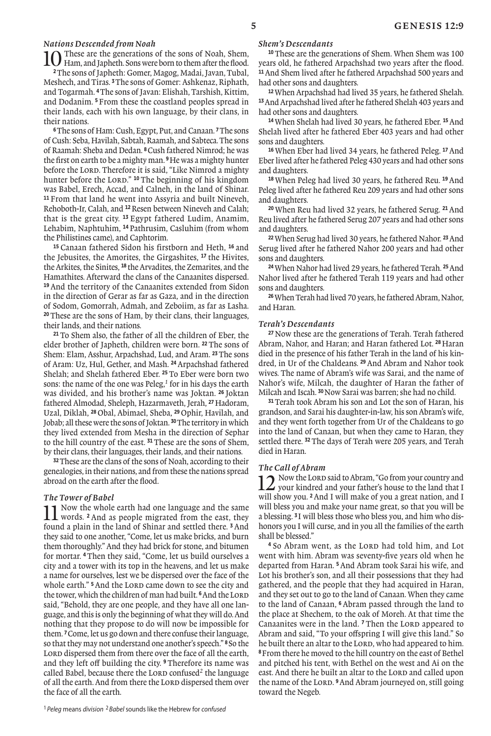*Nations Descended from Noah*<br>**1 ∩** These are the generations of the sons of Noah, Shem, 10 These are the generations of the sons of Noah, Shem, Them, and Japheth. Sons were born to them after the flood. **<sup>2</sup>**The sons of Japheth: Gomer, Magog, Madai, Javan, Tubal, Meshech, and Tiras. **<sup>3</sup>**The sons of Gomer: Ashkenaz, Riphath, and Togarmah. **<sup>4</sup>**The sons of Javan: Elishah, Tarshish, Kittim, and Dodanim. **<sup>5</sup>** From these the coastland peoples spread in their lands, each with his own language, by their clans, in their nations.

**<sup>6</sup>**The sons of Ham: Cush, Egypt, Put, and Canaan. **<sup>7</sup>**The sons of Cush: Seba, Havilah, Sabtah, Raamah, and Sabteca. The sons of Raamah: Sheba and Dedan. **<sup>8</sup>**Cush fathered Nimrod; he was the first on earth to be a mighty man. **<sup>9</sup>**He was a mighty hunter before the LORD. Therefore it is said, "Like Nimrod a mighty hunter before the LORD." <sup>10</sup> The beginning of his kingdom was Babel, Erech, Accad, and Calneh, in the land of Shinar. **<sup>11</sup>** From that land he went into Assyria and built Nineveh, Rehoboth-Ir, Calah, and **<sup>12</sup>**Resen between Nineveh and Calah; that is the great city. **<sup>13</sup>** Egypt fathered Ludim, Anamim, Lehabim, Naphtuhim, **<sup>14</sup>** Pathrusim, Casluhim (from whom the Philistines came), and Caphtorim.

**<sup>15</sup>** Canaan fathered Sidon his firstborn and Heth, **<sup>16</sup>** and the Jebusites, the Amorites, the Girgashites, **<sup>17</sup>** the Hivites, the Arkites, the Sinites, **<sup>18</sup>** the Arvadites, the Zemarites, and the Hamathites. Afterward the clans of the Canaanites dispersed. **<sup>19</sup>** And the territory of the Canaanites extended from Sidon in the direction of Gerar as far as Gaza, and in the direction of Sodom, Gomorrah, Admah, and Zeboiim, as far as Lasha. **<sup>20</sup>**These are the sons of Ham, by their clans, their languages, their lands, and their nations.

**<sup>21</sup>** To Shem also, the father of all the children of Eber, the elder brother of Japheth, children were born. **<sup>22</sup>** The sons of Shem: Elam, Asshur, Arpachshad, Lud, and Aram. **<sup>23</sup>**The sons of Aram: Uz, Hul, Gether, and Mash. **<sup>24</sup>**Arpachshad fathered Shelah; and Shelah fathered Eber. **<sup>25</sup>** To Eber were born two sons: the name of the one was Peleg,*1* for in his days the earth was divided, and his brother's name was Joktan. **<sup>26</sup>** Joktan fathered Almodad, Sheleph, Hazarmaveth, Jerah, **<sup>27</sup>** Hadoram, Uzal, Diklah, **<sup>28</sup>** Obal, Abimael, Sheba, **<sup>29</sup>** Ophir, Havilah, and Jobab; all these were the sons of Joktan. **<sup>30</sup>**The territory in which they lived extended from Mesha in the direction of Sephar to the hill country of the east. **<sup>31</sup>**These are the sons of Shem, by their clans, their languages, their lands, and their nations.

**<sup>32</sup>**These are the clans of the sons of Noah, according to their genealogies, in their nations, and from these the nations spread abroad on the earth after the flood.

*The Tower of Babel* 11 Now the whole earth had one language and the same words. **<sup>2</sup>** And as people migrated from the east, they found a plain in the land of Shinar and settled there. **<sup>3</sup>** And they said to one another, "Come, let us make bricks, and burn them thoroughly." And they had brick for stone, and bitumen for mortar. **<sup>4</sup>** Then they said, "Come, let us build ourselves a city and a tower with its top in the heavens, and let us make a name for ourselves, lest we be dispersed over the face of the whole earth." <sup>5</sup> And the LORD came down to see the city and the tower, which the children of man had built. <sup>6</sup> And the LORD said, "Behold, they are one people, and they have all one language, and this is only the beginning of what they will do. And nothing that they propose to do will now be impossible for them. **<sup>7</sup>**Come, let us go down and there confuse their language, so that they may not understand one another's speech." **<sup>8</sup>** So the LORD dispersed them from there over the face of all the earth, and they left off building the city. <sup>9</sup> Therefore its name was called Babel, because there the LORD confused<sup>2</sup> the language of all the earth. And from there the LORD dispersed them over the face of all the earth.

### *Shem's Descendants*

**<sup>10</sup>**These are the generations of Shem. When Shem was 100 years old, he fathered Arpachshad two years after the flood. **<sup>11</sup>**And Shem lived after he fathered Arpachshad 500 years and had other sons and daughters.

**12**When Arpachshad had lived 35 years, he fathered Shelah. **<sup>13</sup>**And Arpachshad lived after he fathered Shelah 403 years and had other sons and daughters.

**<sup>14</sup>**When Shelah had lived 30 years, he fathered Eber. **<sup>15</sup>**And Shelah lived after he fathered Eber 403 years and had other sons and daughters.

**<sup>16</sup>**When Eber had lived 34 years, he fathered Peleg. **<sup>17</sup>**And Eber lived after he fathered Peleg 430 years and had other sons and daughters.

**<sup>18</sup>** When Peleg had lived 30 years, he fathered Reu. **<sup>19</sup>** And Peleg lived after he fathered Reu 209 years and had other sons and daughters.

**<sup>20</sup>** When Reu had lived 32 years, he fathered Serug. **<sup>21</sup>**And Reu lived after he fathered Serug 207 years and had other sons and daughters.

**<sup>22</sup>**When Serug had lived 30 years, he fathered Nahor. **<sup>23</sup>**And Serug lived after he fathered Nahor 200 years and had other sons and daughters.

**<sup>24</sup>**When Nahor had lived 29 years, he fathered Terah. **<sup>25</sup>**And Nahor lived after he fathered Terah 119 years and had other sons and daughters.

**<sup>26</sup>**When Terah had lived 70 years, he fathered Abram, Nahor, and Haran.

### *Terah's Descendants*

**<sup>27</sup>** Now these are the generations of Terah. Terah fathered Abram, Nahor, and Haran; and Haran fathered Lot. **<sup>28</sup>** Haran died in the presence of his father Terah in the land of his kindred, in Ur of the Chaldeans. **<sup>29</sup>** And Abram and Nahor took wives. The name of Abram's wife was Sarai, and the name of Nahor's wife, Milcah, the daughter of Haran the father of Milcah and Iscah. **<sup>30</sup>**Now Sarai was barren; she had no child.

**<sup>31</sup>**Terah took Abram his son and Lot the son of Haran, his grandson, and Sarai his daughter-in-law, his son Abram's wife, and they went forth together from Ur of the Chaldeans to go into the land of Canaan, but when they came to Haran, they settled there. **<sup>32</sup>**The days of Terah were 205 years, and Terah died in Haran.

### *The Call of Abram*

12 Now the Lord said to Abram, "Go from your country and your kindred and your father's house to the land that I will show you. **<sup>2</sup>**And I will make of you a great nation, and I will bless you and make your name great, so that you will be a blessing. **<sup>3</sup>** I will bless those who bless you, and him who dishonors you I will curse, and in you all the families of the earth shall be blessed."

<sup>4</sup> So Abram went, as the LORD had told him, and Lot went with him. Abram was seventy-five years old when he departed from Haran. **<sup>5</sup>**And Abram took Sarai his wife, and Lot his brother's son, and all their possessions that they had gathered, and the people that they had acquired in Haran, and they set out to go to the land of Canaan. When they came to the land of Canaan, **<sup>6</sup>** Abram passed through the land to the place at Shechem, to the oak of Moreh. At that time the Canaanites were in the land. <sup>7</sup> Then the LORD appeared to Abram and said, "To your ofspring I will give this land." So he built there an altar to the LORD, who had appeared to him. **<sup>8</sup>**From there he moved to the hill country on the east of Bethel and pitched his tent, with Bethel on the west and Ai on the east. And there he built an altar to the LORD and called upon the name of the LORD. <sup>9</sup>And Abram journeyed on, still going toward the Negeb.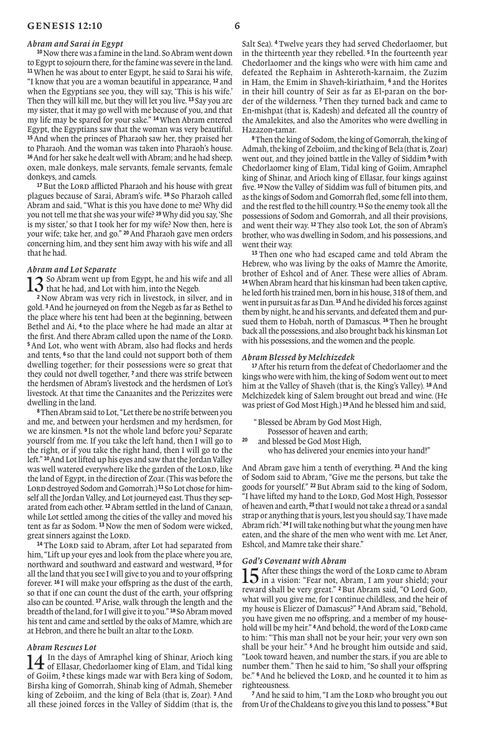#### *Abram and Sarai in Egypt*

**<sup>10</sup>**Now there was a famine in the land. So Abram went down to Egypt to sojourn there, for the famine was severe in the land. **<sup>11</sup>**When he was about to enter Egypt, he said to Sarai his wife, "I know that you are a woman beautiful in appearance, **<sup>12</sup>** and when the Egyptians see you, they will say, 'This is his wife.' Then they will kill me, but they will let you live. **<sup>13</sup>** Say you are my sister, that it may go well with me because of you, and that my life may be spared for your sake." **<sup>14</sup>**When Abram entered Egypt, the Egyptians saw that the woman was very beautiful. **<sup>15</sup>**And when the princes of Pharaoh saw her, they praised her to Pharaoh. And the woman was taken into Pharaoh's house. **<sup>16</sup>**And for her sake he dealt well with Abram; and he had sheep, oxen, male donkeys, male servants, female servants, female donkeys, and camels.

<sup>17</sup> But the LORD afflicted Pharaoh and his house with great plagues because of Sarai, Abram's wife. **<sup>18</sup>** So Pharaoh called Abram and said, "What is this you have done to me? Why did you not tell me that she was your wife? **<sup>19</sup>**Why did you say, 'She is my sister,' so that I took her for my wife? Now then, here is your wife; take her, and go." **<sup>20</sup>**And Pharaoh gave men orders concerning him, and they sent him away with his wife and all that he had.

### *Abram and Lot Separate*

13 So Abram went up from Egypt, he and his wife and all 3 that he had, and Lot with him, into the Negeb.

**<sup>2</sup>** Now Abram was very rich in livestock, in silver, and in gold. **<sup>3</sup>**And he journeyed on from the Negeb as far as Bethel to the place where his tent had been at the beginning, between Bethel and Ai, **<sup>4</sup>** to the place where he had made an altar at the first. And there Abram called upon the name of the LORD. **<sup>5</sup>** And Lot, who went with Abram, also had flocks and herds and tents, **<sup>6</sup>** so that the land could not support both of them dwelling together; for their possessions were so great that they could not dwell together, **<sup>7</sup>** and there was strife between the herdsmen of Abram's livestock and the herdsmen of Lot's livestock. At that time the Canaanites and the Perizzites were dwelling in the land.

**<sup>8</sup>**Then Abram said to Lot, "Let there be no strife between you and me, and between your herdsmen and my herdsmen, for we are kinsmen. **<sup>9</sup>** Is not the whole land before you? Separate yourself from me. If you take the left hand, then I will go to the right, or if you take the right hand, then I will go to the left." **<sup>10</sup>**And Lot lifted up his eyes and saw that the Jordan Valley was well watered everywhere like the garden of the LORD, like the land of Egypt, in the direction of Zoar. (This was before the LORD destroyed Sodom and Gomorrah.)<sup>11</sup> So Lot chose for himself all the Jordan Valley, and Lot journeyed east. Thus they separated from each other. **<sup>12</sup>**Abram settled in the land of Canaan, while Lot settled among the cities of the valley and moved his tent as far as Sodom. **<sup>13</sup>**Now the men of Sodom were wicked, great sinners against the LORD.

<sup>14</sup> The LORD said to Abram, after Lot had separated from him. "Lift up your eyes and look from the place where you are, northward and southward and eastward and westward, **<sup>15</sup>** for all the land that you see I will give to you and to your ofspring forever. **<sup>16</sup>** I will make your ofspring as the dust of the earth, so that if one can count the dust of the earth, your offspring also can be counted. **<sup>17</sup>**Arise, walk through the length and the breadth of the land, for I will give it to you." **<sup>18</sup>** So Abram moved his tent and came and settled by the oaks of Mamre, which are at Hebron, and there he built an altar to the LORD.

#### *Abram Rescues Lot*

14 In the days of Amraphel king of Shinar, Arioch king<br>of Ellasar, Chedorlaomer king of Elam, and Tidal king of Goiim, **<sup>2</sup>** these kings made war with Bera king of Sodom, Birsha king of Gomorrah, Shinab king of Admah, Shemeber king of Zeboiim, and the king of Bela (that is, Zoar). **<sup>3</sup>** And all these joined forces in the Valley of Siddim (that is, the

Salt Sea). **<sup>4</sup>** Twelve years they had served Chedorlaomer, but in the thirteenth year they rebelled. **<sup>5</sup>** In the fourteenth year Chedorlaomer and the kings who were with him came and defeated the Rephaim in Ashteroth-karnaim, the Zuzim in Ham, the Emim in Shaveh-kiriathaim, **<sup>6</sup>** and the Horites in their hill country of Seir as far as El-paran on the border of the wilderness. **<sup>7</sup>** Then they turned back and came to En-mishpat (that is, Kadesh) and defeated all the country of the Amalekites, and also the Amorites who were dwelling in Hazazon-tamar.

**<sup>8</sup>**Then the king of Sodom, the king of Gomorrah, the king of Admah, the king of Zeboiim, and the king of Bela (that is, Zoar) went out, and they joined battle in the Valley of Siddim **<sup>9</sup>**with Chedorlaomer king of Elam, Tidal king of Goiim, Amraphel king of Shinar, and Arioch king of Ellasar, four kings against five. **<sup>10</sup>**Now the Valley of Siddim was full of bitumen pits, and as the kings of Sodom and Gomorrah fled, some fell into them, and the rest fled to the hill country. **<sup>11</sup>** So the enemy took all the possessions of Sodom and Gomorrah, and all their provisions, and went their way. **<sup>12</sup>**They also took Lot, the son of Abram's brother, who was dwelling in Sodom, and his possessions, and went their way.

**<sup>13</sup>** Then one who had escaped came and told Abram the Hebrew, who was living by the oaks of Mamre the Amorite, brother of Eshcol and of Aner. These were allies of Abram. **<sup>14</sup>**When Abram heard that his kinsman had been taken captive, he led forth his trained men, born in his house, 318 of them, and went in pursuit as far as Dan. **<sup>15</sup>**And he divided his forces against them by night, he and his servants, and defeated them and pursued them to Hobah, north of Damascus. **<sup>16</sup>**Then he brought back all the possessions, and also brought back his kinsman Lot with his possessions, and the women and the people.

#### *Abram Blessed by Melchizedek*

**<sup>17</sup>**After his return from the defeat of Chedorlaomer and the kings who were with him, the king of Sodom went out to meet him at the Valley of Shaveh (that is, the King's Valley). **<sup>18</sup>**And Melchizedek king of Salem brought out bread and wine. (He was priest of God Most High.) **<sup>19</sup>**And he blessed him and said,

Blessed be Abram by God Most High. Possessor of heaven and earth;<br>20 and blessed be Cod Most High **<sup>20</sup>** and blessed be God Most High, who has delivered your enemies into your hand!"

And Abram gave him a tenth of everything. **<sup>21</sup>** And the king of Sodom said to Abram, "Give me the persons, but take the goods for yourself." **<sup>22</sup>** But Abram said to the king of Sodom, "I have lifted my hand to the LORD, God Most High, Possessor of heaven and earth, **<sup>23</sup>** that I would not take a thread or a sandal strap or anything that is yours, lest you should say, 'I have made Abram rich.' **<sup>24</sup>** I will take nothing but what the young men have eaten, and the share of the men who went with me. Let Aner, Eshcol, and Mamre take their share."

#### *God's Covenant with Abram*

15 After these things the word of the LORD came to Abram is a vision: "Fear not, Abram, I am your shield; your reward shall be very great." <sup>2</sup> But Abram said, "O Lord GoD, what will you give me, for I continue childless, and the heir of my house is Eliezer of Damascus?" **<sup>3</sup>**And Abram said, "Behold, you have given me no ofspring, and a member of my household will be my heir." <sup>4</sup> And behold, the word of the Lord came to him: "This man shall not be your heir; your very own son shall be your heir." **<sup>5</sup>** And he brought him outside and said, "Look toward heaven, and number the stars, if you are able to number them." Then he said to him, "So shall your ofspring be." <sup>6</sup> And he believed the LORD, and he counted it to him as righteousness.

<sup>7</sup> And he said to him, "I am the LORD who brought you out from Ur of the Chaldeans to give you this land to possess." **8**But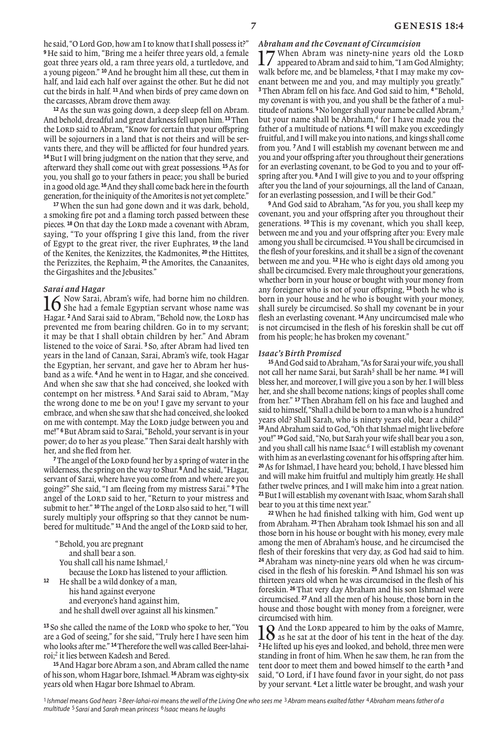he said, "O Lord Gop, how am I to know that I shall possess it?" **<sup>9</sup>** He said to him, "Bring me a heifer three years old, a female goat three years old, a ram three years old, a turtledove, and a young pigeon." **<sup>10</sup>**And he brought him all these, cut them in half, and laid each half over against the other. But he did not cut the birds in half. **<sup>11</sup>**And when birds of prey came down on the carcasses, Abram drove them away.

**<sup>12</sup>**As the sun was going down, a deep sleep fell on Abram. And behold, dreadful and great darkness fell upon him. **<sup>13</sup>**Then the Lord said to Abram, "Know for certain that your offspring will be sojourners in a land that is not theirs and will be servants there, and they will be afflicted for four hundred years. **<sup>14</sup>**But I will bring judgment on the nation that they serve, and afterward they shall come out with great possessions. **<sup>15</sup>**As for you, you shall go to your fathers in peace; you shall be buried in a good old age. **<sup>16</sup>**And they shall come back here in the fourth generation, for the iniquity of the Amorites is not yet complete."

**<sup>17</sup>** When the sun had gone down and it was dark, behold, a smoking fire pot and a flaming torch passed between these pieces. <sup>18</sup> On that day the LORD made a covenant with Abram, saying, "To your offspring I give this land, from the river of Egypt to the great river, the river Euphrates, **<sup>19</sup>** the land of the Kenites, the Kenizzites, the Kadmonites, **<sup>20</sup>** the Hittites, the Perizzites, the Rephaim, **<sup>21</sup>** the Amorites, the Canaanites, the Girgashites and the Jebusites."

*Sarai and Hagar*<br>**1∠** Now Sarai. Abram's wife. had borne him no children. 16 Now Sarai, Abram's wife, had borne him no children.<br>
She had a female Egyptian servant whose name was Hagar. <sup>2</sup> And Sarai said to Abram, "Behold now, the Lord has prevented me from bearing children. Go in to my servant; it may be that I shall obtain children by her." And Abram listened to the voice of Sarai. **<sup>3</sup>** So, after Abram had lived ten years in the land of Canaan, Sarai, Abram's wife, took Hagar the Egyptian, her servant, and gave her to Abram her husband as a wife. **<sup>4</sup>**And he went in to Hagar, and she conceived. And when she saw that she had conceived, she looked with contempt on her mistress. **<sup>5</sup>** And Sarai said to Abram, "May the wrong done to me be on you! I gave my servant to your embrace, and when she saw that she had conceived, she looked on me with contempt. May the LORD judge between you and me!" **<sup>6</sup>**But Abram said to Sarai, "Behold, your servant is in your power; do to her as you please." Then Sarai dealt harshly with her, and she fled from her.

<sup>7</sup>The angel of the LORD found her by a spring of water in the wilderness, the spring on the way to Shur. **<sup>8</sup>**And he said, "Hagar, servant of Sarai, where have you come from and where are you going?" She said, "I am fleeing from my mistress Sarai." **<sup>9</sup>**The angel of the LORD said to her, "Return to your mistress and submit to her." <sup>10</sup> The angel of the LORD also said to her. "I will surely multiply your ofspring so that they cannot be numbered for multitude." <sup>11</sup> And the angel of the LORD said to her,

"Behold, you are pregnant and shall bear a son. You shall call his name Ishmael,*<sup>1</sup>* because the LORD has listened to your affliction. **<sup>12</sup>** He shall be a wild donkey of a man, his hand against everyone and everyone's hand against him, and he shall dwell over against all his kinsmen."

<sup>13</sup> So she called the name of the LORD who spoke to her, "You are a God of seeing," for she said, "Truly here I have seen him who looks after me." **14**Therefore the well was called Beer-lahairoi;*2* it lies between Kadesh and Bered.

**<sup>15</sup>**And Hagar bore Abram a son, and Abram called the name of his son, whom Hagar bore, Ishmael. **<sup>16</sup>**Abram was eighty-six years old when Hagar bore Ishmael to Abram.

*Abraham and the Covenant of Circumcision* 17 When Abram was ninety-nine years old the LORD<br>appeared to Abram and said to him, "I am God Almighty; walk before me, and be blameless, **<sup>2</sup>** that I may make my covenant between me and you, and may multiply you greatly." **<sup>3</sup>**Then Abram fell on his face. And God said to him, **<sup>4</sup>** "Behold, my covenant is with you, and you shall be the father of a multitude of nations. **<sup>5</sup>**No longer shall your name be called Abram,*<sup>3</sup>* but your name shall be Abraham,*4* for I have made you the father of a multitude of nations. **<sup>6</sup>** I will make you exceedingly fruitful, and I will make you into nations, and kings shall come from you. **<sup>7</sup>**And I will establish my covenant between me and you and your ofspring after you throughout their generations for an everlasting covenant, to be God to you and to your offspring after you. **<sup>8</sup>**And I will give to you and to your ofspring after you the land of your sojournings, all the land of Canaan, for an everlasting possession, and I will be their God."

**<sup>9</sup>**And God said to Abraham, "As for you, you shall keep my covenant, you and your ofspring after you throughout their generations. **<sup>10</sup>** This is my covenant, which you shall keep, between me and you and your ofspring after you: Every male among you shall be circumcised. **<sup>11</sup>**You shall be circumcised in the flesh of your foreskins, and it shall be a sign of the covenant between me and you. **<sup>12</sup>** He who is eight days old among you shall be circumcised. Every male throughout your generations, whether born in your house or bought with your money from any foreigner who is not of your ofspring, **<sup>13</sup>** both he who is born in your house and he who is bought with your money, shall surely be circumcised. So shall my covenant be in your flesh an everlasting covenant. **<sup>14</sup>**Any uncircumcised male who is not circumcised in the flesh of his foreskin shall be cut of from his people; he has broken my covenant."

### *Isaac's Birth Promised*

**<sup>15</sup>**And God said to Abraham, "As for Sarai your wife, you shall not call her name Sarai, but Sarah*5* shall be her name. **<sup>16</sup>** I will bless her, and moreover, I will give you a son by her. I will bless her, and she shall become nations; kings of peoples shall come from her." **<sup>17</sup>**Then Abraham fell on his face and laughed and said to himself, "Shall a child be born to a man who is a hundred years old? Shall Sarah, who is ninety years old, bear a child?" **<sup>18</sup>**And Abraham said to God, "Oh that Ishmael might live before you!" **<sup>19</sup>**God said, "No, but Sarah your wife shall bear you a son, and you shall call his name Isaac.*6* I will establish my covenant with him as an everlasting covenant for his offspring after him. **<sup>20</sup>**As for Ishmael, I have heard you; behold, I have blessed him and will make him fruitful and multiply him greatly. He shall father twelve princes, and I will make him into a great nation. **<sup>21</sup>**But I will establish my covenant with Isaac, whom Sarah shall bear to you at this time next year."

**<sup>22</sup>** When he had finished talking with him, God went up from Abraham. **<sup>23</sup>**Then Abraham took Ishmael his son and all those born in his house or bought with his money, every male among the men of Abraham's house, and he circumcised the flesh of their foreskins that very day, as God had said to him. **<sup>24</sup>** Abraham was ninety-nine years old when he was circumcised in the flesh of his foreskin. **<sup>25</sup>**And Ishmael his son was thirteen years old when he was circumcised in the flesh of his foreskin. **<sup>26</sup>**That very day Abraham and his son Ishmael were circumcised. **<sup>27</sup>**And all the men of his house, those born in the house and those bought with money from a foreigner, were circumcised with him.

18 And the LORD appeared to him by the oaks of Mamre,<br>as he sat at the door of his tent in the heat of the day. **<sup>2</sup>**He lifted up his eyes and looked, and behold, three men were standing in front of him. When he saw them, he ran from the tent door to meet them and bowed himself to the earth **<sup>3</sup>** and said, "O Lord, if I have found favor in your sight, do not pass by your servant. **<sup>4</sup>** Let a little water be brought, and wash your

<sup>1</sup> Ishmael means God hears <sup>2</sup> Beer-lahai-roi means the well of the Living One who sees me <sup>3</sup> Abram means exalted father <sup>4</sup> Abraham means father of a multitude 5 Sarai and Sarah mean princess 6 Isaac means he laughs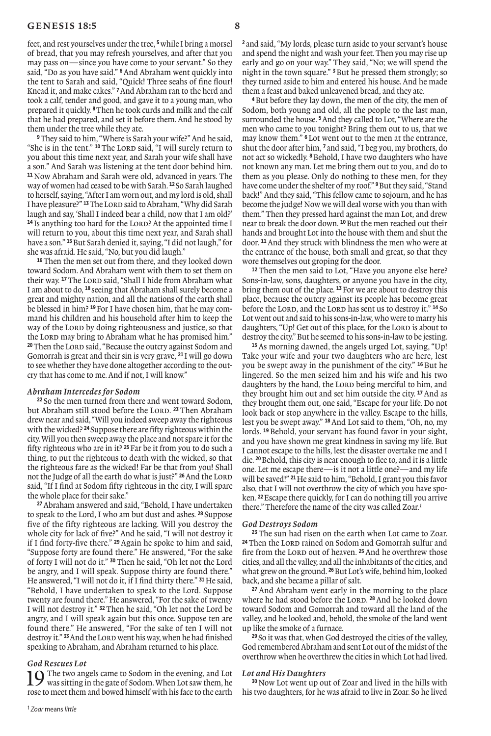feet, and rest yourselves under the tree, **<sup>5</sup>**while I bring a morsel of bread, that you may refresh yourselves, and after that you may pass on—since you have come to your servant." So they said, "Do as you have said." **<sup>6</sup>**And Abraham went quickly into the tent to Sarah and said, "Quick! Three seahs of fine flour! Knead it, and make cakes." **<sup>7</sup>**And Abraham ran to the herd and took a calf, tender and good, and gave it to a young man, who prepared it quickly. **<sup>8</sup>**Then he took curds and milk and the calf that he had prepared, and set it before them. And he stood by them under the tree while they ate.

**<sup>9</sup>**They said to him, "Where is Sarah your wife?" And he said, "She is in the tent." <sup>10</sup> The Lord said, "I will surely return to you about this time next year, and Sarah your wife shall have a son." And Sarah was listening at the tent door behind him. **<sup>11</sup>** Now Abraham and Sarah were old, advanced in years. The way of women had ceased to be with Sarah. **<sup>12</sup>** So Sarah laughed to herself, saying, "After I am worn out, and my lord is old, shall I have pleasure?" <sup>13</sup>The LORD said to Abraham, "Why did Sarah laugh and say, 'Shall I indeed bear a child, now that I am old?' **<sup>14</sup>** Is anything too hard for the Lord? At the appointed time I will return to you, about this time next year, and Sarah shall have a son." **<sup>15</sup>**But Sarah denied it, saying, "I did not laugh," for she was afraid. He said, "No, but you did laugh."

**<sup>16</sup>**Then the men set out from there, and they looked down toward Sodom. And Abraham went with them to set them on their way. <sup>17</sup> The LORD said, "Shall I hide from Abraham what I am about to do, **<sup>18</sup>** seeing that Abraham shall surely become a great and mighty nation, and all the nations of the earth shall be blessed in him? **19**For I have chosen him, that he may command his children and his household after him to keep the way of the LORD by doing righteousness and justice, so that the Lord may bring to Abraham what he has promised him." <sup>20</sup>Then the LORD said, "Because the outcry against Sodom and Gomorrah is great and their sin is very grave, **<sup>21</sup>** I will go down to see whether they have done altogether according to the outcry that has come to me. And if not, I will know."

#### *Abraham Intercedes for Sodom*

**<sup>22</sup>** So the men turned from there and went toward Sodom, but Abraham still stood before the LORD.<sup>23</sup> Then Abraham drew near and said, "Will you indeed sweep away the righteous with the wicked? **<sup>24</sup>** Suppose there are fifty righteous within the city. Will you then sweep away the place and not spare it for the fifty righteous who are in it? **<sup>25</sup>**Far be it from you to do such a thing, to put the righteous to death with the wicked, so that the righteous fare as the wicked! Far be that from you! Shall not the Judge of all the earth do what is just?" **<sup>26</sup>**And the Lord said, "If I find at Sodom fifty righteous in the city, I will spare the whole place for their sake."

**<sup>27</sup>**Abraham answered and said, "Behold, I have undertaken to speak to the Lord, I who am but dust and ashes. **<sup>28</sup>** Suppose five of the fifty righteous are lacking. Will you destroy the whole city for lack of five?" And he said, "I will not destroy it if I find forty-five there." **<sup>29</sup>** Again he spoke to him and said, "Suppose forty are found there." He answered, "For the sake of forty I will not do it." **<sup>30</sup>**Then he said, "Oh let not the Lord be angry, and I will speak. Suppose thirty are found there." He answered, "I will not do it, if I find thirty there." **<sup>31</sup>**He said, "Behold, I have undertaken to speak to the Lord. Suppose twenty are found there." He answered, "For the sake of twenty I will not destroy it." **<sup>32</sup>**Then he said, "Oh let not the Lord be angry, and I will speak again but this once. Suppose ten are found there." He answered, "For the sake of ten I will not destroy it." <sup>33</sup> And the LORD went his way, when he had finished speaking to Abraham, and Abraham returned to his place.

#### *God Rescues Lot*

 $\Omega$  The two angels came to Sodom in the evening, and Lot was sitting in the gate of Sodom. When Lot saw them, he rose to meet them and bowed himself with his face to the earth **<sup>2</sup>** and said, "My lords, please turn aside to your servant's house and spend the night and wash your feet. Then you may rise up early and go on your way." They said, "No; we will spend the night in the town square." **<sup>3</sup>**But he pressed them strongly; so they turned aside to him and entered his house. And he made them a feast and baked unleavened bread, and they ate.

**<sup>4</sup>**But before they lay down, the men of the city, the men of Sodom, both young and old, all the people to the last man, surrounded the house. **<sup>5</sup>**And they called to Lot, "Where are the men who came to you tonight? Bring them out to us, that we may know them." **<sup>6</sup>** Lot went out to the men at the entrance, shut the door after him, **<sup>7</sup>** and said, "I beg you, my brothers, do not act so wickedly. **<sup>8</sup>**Behold, I have two daughters who have not known any man. Let me bring them out to you, and do to them as you please. Only do nothing to these men, for they have come under the shelter of my roof." **<sup>9</sup>**But they said, "Stand back!" And they said, "This fellow came to sojourn, and he has become the judge! Now we will deal worse with you than with them." Then they pressed hard against the man Lot, and drew near to break the door down. **<sup>10</sup>**But the men reached out their hands and brought Lot into the house with them and shut the door. **<sup>11</sup>**And they struck with blindness the men who were at the entrance of the house, both small and great, so that they wore themselves out groping for the door.

**<sup>12</sup>** Then the men said to Lot, "Have you anyone else here? Sons-in-law, sons, daughters, or anyone you have in the city, bring them out of the place. **<sup>13</sup>**For we are about to destroy this place, because the outcry against its people has become great before the LORD, and the LORD has sent us to destroy it." <sup>14</sup> So Lot went out and said to his sons-in-law, who were to marry his daughters, "Up! Get out of this place, for the LORD is about to destroy the city." But he seemed to his sons-in-law to be jesting.

**<sup>15</sup>**As morning dawned, the angels urged Lot, saying, "Up! Take your wife and your two daughters who are here, lest you be swept away in the punishment of the city." **<sup>16</sup>** But he lingered. So the men seized him and his wife and his two daughters by the hand, the LORD being merciful to him, and they brought him out and set him outside the city. **<sup>17</sup>**And as they brought them out, one said, "Escape for your life. Do not look back or stop anywhere in the valley. Escape to the hills, lest you be swept away." **<sup>18</sup>**And Lot said to them, "Oh, no, my lords. **<sup>19</sup>** Behold, your servant has found favor in your sight, and you have shown me great kindness in saving my life. But I cannot escape to the hills, lest the disaster overtake me and I die. **<sup>20</sup>**Behold, this city is near enough to flee to, and it is a little one. Let me escape there—is it not a little one?—and my life will be saved!" **<sup>21</sup>**He said to him, "Behold, I grant you this favor also, that I will not overthrow the city of which you have spoken. **<sup>22</sup>**Escape there quickly, for I can do nothing till you arrive there." Therefore the name of the city was called Zoar.*<sup>1</sup>*

### *God Destroys Sodom*

**<sup>23</sup>** The sun had risen on the earth when Lot came to Zoar. <sup>24</sup> Then the LORD rained on Sodom and Gomorrah sulfur and fire from the LORD out of heaven. <sup>25</sup> And he overthrew those cities, and all the valley, and all the inhabitants of the cities, and what grew on the ground. **<sup>26</sup>**But Lot's wife, behind him, looked back, and she became a pillar of salt.

**<sup>27</sup>** And Abraham went early in the morning to the place where he had stood before the LORD. <sup>28</sup> And he looked down toward Sodom and Gomorrah and toward all the land of the valley, and he looked and, behold, the smoke of the land went up like the smoke of a furnace.

**<sup>29</sup>** So it was that, when God destroyed the cities of the valley, God remembered Abraham and sent Lot out of the midst of the overthrow when he overthrew the cities in which Lot had lived.

#### *Lot and His Daughters*

**<sup>30</sup>**Now Lot went up out of Zoar and lived in the hills with his two daughters, for he was afraid to live in Zoar. So he lived